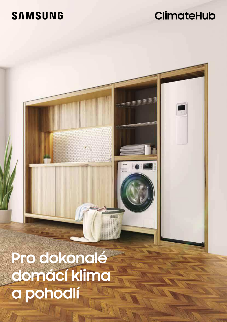# **SAMSUNG**

# **ClimateHub**

Pro dokonalé domácí klima a pohodlí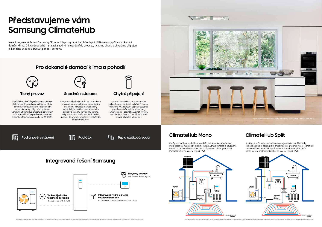## Představujeme vám **Samsung ClimateHub**

Nové integrované řešení Samsung ClimateHub pro vytápění a ohřev teplé užitkové vody přináší dokonalé domácí klima. Díky jednoduché instalaci, snadnému uvedení do provozu, tichému chodu a chytrému připojení je konečně snadné udržovat pohodlí domova.

#### Pro dokonalé domácí klima a pohodlí Chytré připojení Tichý provoz Snadná instalace Integrovaná hydro jednotka se zásobníkem Systém ClimateHub lze spravovat na Dnešní klimatizační systémy musí splňovat stále přísnější požadavky na hladinu hluku se vyznačuje kompaktním a modulárním dálku. Pomocí volitelné sady Wi-Fi mohou a minimalizovat akustické rušení kolem designem. Instalace je snadná díky uživatelé ovládat různé aspekty systému hydraulickým prvkům namontovaným prostřednictvím aplikace Samsung domu. 4krokový tichý režim systému Samsung ClimateHub umožňuje uživatelům z výroby a čelnímu servisnímu otvoru. SmartThings - zapínat a vypínat systém, snížit úroveň hluku vytvářeného venkovní Díky intuitivním možnostem údržby lze ovládat jeho funkce či naplánovat jeho uvedení do provozu provést s vynaložením provoz kdykoli a odkudkoli. jednotkou tepelného čerpadla na 35 dB(A). minimálního úsilí. (C) Podlahové vytápění ி Radiátor Teplá užitková voda



### **ClimateHub Mono**

**TITLE TITLE** 

<u> Aili Mil</u>

**TINI MIN** اتتارلتاتا

Konfigurace ClimateHub Mono sestává z jedné venkovní jednotky, která obsahuje hydronický systém, což usnadňuje instalaci a používání. Potenciál systému lze maximalizovat připojením k inteligentní síti (Smart Grid) nebo solární energii (PV).

Sada Wi-Fi

(پي

Θ

Teplá voda

ц. Dotykov<br>ovladač

mmm

## **ClimateHub Split**

Konfigurace ClimateHub Split sestává z jedné venkovní jednotky spojené potrubím obsahujícím chladivo s integrovanou hydro jednotkou se zásobníkem. Potenciál systému lze maximalizovat připojením k inteligentní síti (Smart Grid) nebo solární energii (PV).



### Integrované řešení Samsung



iděcích a provozních podmínek. Chytré připojení vyžaduje samostatné objednání sady Wi-Fi a instalaci aplikace Samsung SmartThings na chytrý telefon, dále síťové připojení a účet v aplikaci Samsur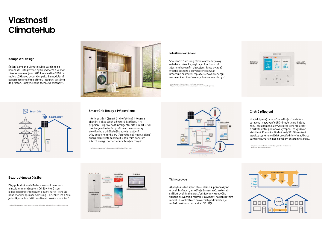## **Vlastnosti ClimateHub**

#### Kompaktní design

Řešení Samsung ClimateHub je založeno na kompaktní integrované hydro jednotce s velkým zásobníkem o objemu 200 l. respektive 260 l na teplou užitkovou vodu. Kompaktní a modulární konstrukce umožňuje přímou integraci systému do prostoru kuchyně nebo technické místnosti.



#### Intuitivní ovládání

Společnost Samsung zavedla nový dotykový ovladač s několika jazykovými možnostmi a jasným barevným displejem. Tento ovladač (včetně českého a slovenského jazyka) umožňuje nastavení teploty, sledování energií, nastavení letního času a rychlé sledování chyb.\*

.<br>Narázek ukazuje příklad aplikace a slouží pouze pro ilustraci.<br>Vždy zkontrolujte aktuální informace, abyste zjistili dostupnost jazykových verzí.





#### Smart Grid Ready a PV povoleno

Inteligentní síť (Smart Grid) efektivně integruje chování a akce všech uživatelů, kteří jsou k ní připojeni. Připravenost inteligentní sítě (Smart Grid) umožňuje uživatelům profitovat z ekonomicky efektivního a udržitelného zdroje napájení. Díky povolené funkci PV (fotovoltaická nebo "solární" energie) lze systém připojit k solárním panelům a šetřit energii pomocí obnovitelných zdrojů.

\* Použití funkce .PV novoleno" vyžaduje instalaci dalších zařízení třetích stran



#### Chytré připojení

Nový dotykový ovladač umožňuje uživatelům spravovat nastavení odlišné teploty pro každou zónu, což znamená, že vysokoteplotní radiátory a nízkoteplotní podlahové vytápění lze využívat efektivně. Pomocí volitelné sady Wi-Fi lze různé aspekty systému ovládat prostřednictvím aplikace Samsung SmartThings na vašem chytrém telefonu.\*

\* K dispozici na zařízeních iPhone a Android. Je vyžadováno síťové připojení<br>Je zapotřebí účet aplikace Samsung.

#### Bezproblémová údržba

Díky pohodlně umístěnému servisnímu otvoru a intuitivním možnostem údržby, které jsou k dispozici prostřednictvím použití karty Micro SD nebo mobilní aplikace Samsung S-Checker, lze z čela jednotky snadno řešit problémy i provést spuštění.\*

\* Podrobnější informace o mobilní aplikaci S-Checkerzískáte přímo od kontaktní osoby společnosti Samsung



#### Tichý provoz

Aby bylo možné splnit stále přísnější požadavky na úroveň hlučnosti, umožňuje Samsung ClimateHub snížit úroveň hluku prostřednictvím 4krokového tichého provozního režimu. V závislosti na konkrétním modelu a konkrétních provozních podmínkách je možné dosáhnout úrovně až 35 dB(A).



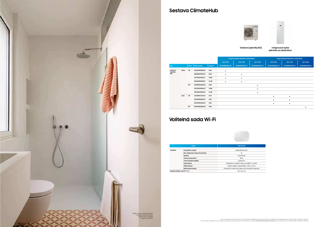

### Sestava ClimateHub



 $-222 - 222$ 

Venkovní jednotka R32

Integrovaná hydro<br>jednotka se zásobníkem

|                             |       |                |                |          | Integrovaná hydro jednotka s nádrží (Mono) |                | Integrovaná hydro jednotka s nádrží (Split) |                |                |                |
|-----------------------------|-------|----------------|----------------|----------|--------------------------------------------|----------------|---------------------------------------------|----------------|----------------|----------------|
|                             |       |                |                |          | 2001(10)                                   | 2601(10)       | 2601(30)                                    | 2001(10)       | 2601(10)       | 2601(30)       |
| Typ                         |       | Výkon          | Název modelu   | Kapacita | AE200RNWMEG/EU                             | AE260RNWMEG/EU | AE260RNWMGG/EU                              | AE200RNWSEG/EU | AE260RNWSEG/EU | AE260RNWSGG/EU |
| Venkovní<br>jednotka<br>R32 | Mono  | 1 <sub>0</sub> | AE050RXYDEG/EU | 5 kW     | ٠                                          |                |                                             |                |                |                |
|                             |       |                | AE080RXYDEG/EU | 8 kW     | ٠                                          | ٠              |                                             |                |                |                |
|                             |       |                | AE120RXYDEG/EU | 12 kW    | ۰                                          | ٠              |                                             |                |                |                |
|                             |       |                | AE160RXYDEG/EU | 16 kW    | ۰                                          | ٠              |                                             |                |                |                |
|                             |       | 3Ф             | AE080RXYDGG/EU | 8 kW     |                                            |                | ٠                                           |                |                |                |
|                             |       |                | AE120RXYDGG/EU | 12 kW    |                                            |                | ٠                                           |                |                |                |
|                             |       |                | AE160RXYDGG/EU | 16 kW    |                                            |                | ۰                                           |                |                |                |
|                             | Split | $1\Phi$        | AE040RXEDEG/EU | 4 kW     |                                            |                |                                             | ٠              | ٠              |                |
|                             |       |                | AE060RXEDEG/EU | 6 kW     |                                            |                |                                             | ٠              | ٠              |                |
|                             |       |                | AE090RXEDEG/EU | 9 kW     |                                            |                |                                             | ٠              | ٠              |                |
|                             |       | 3Ф             | AE090RXEDGG/EU | 9 kW     |                                            |                |                                             |                |                |                |
|                             |       |                |                |          |                                            |                |                                             |                |                |                |

### Volitelná sada Wi-Fi



|                                | Model                                | MIM-HO4FN                                                  |  |  |
|--------------------------------|--------------------------------------|------------------------------------------------------------|--|--|
|                                |                                      |                                                            |  |  |
| Ventilátor                     | Kompatibilní ovladač                 | MWR-WW10N (R32)                                            |  |  |
|                                | Max. připojených venkovních jednotek | 16                                                         |  |  |
|                                | Aplikace                             | SmartThings                                                |  |  |
|                                | Hlasové rozpoznávání                 | Bixby                                                      |  |  |
|                                | Uvítací chlazení/vytápění            | Geofencina                                                 |  |  |
|                                | Automatizace                         | Přizpůsobené ovládání s řadou prováděcích pravidel         |  |  |
|                                | Přidat sekvenci                      | Snadné ovládání v uživatelském režimu na míru.             |  |  |
|                                | Monitorování energie                 | Individuální monitorování výkonu až 16 venkovních jednotek |  |  |
| Rozměry výrobku (mm) Š × V × H |                                      | 185 × 130 × 29                                             |  |  |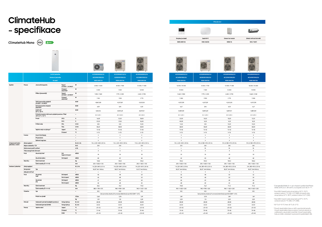## **ClimateHub** - specifikace

 $.........$  $\sim$ 

ClimateHub Mono  $(R32)$  Atm

|                   |                             | Vnitřní jednotka                                                        |                                         |                    | AE200RNWMEG/EU              | AE200RNWMEG/EU                                                                   | AE200RNWMEG/EU               |
|-------------------|-----------------------------|-------------------------------------------------------------------------|-----------------------------------------|--------------------|-----------------------------|----------------------------------------------------------------------------------|------------------------------|
|                   |                             | Venkovní jednotka                                                       |                                         |                    | AE050RXYDEG/EU              | AE080RXYDEG/EU                                                                   | AE120RXYDEG/EU               |
|                   |                             | Ovladač                                                                 |                                         |                    | MWR-WW10N                   | MWR-WW10N                                                                        | MWR-WW10N                    |
|                   |                             |                                                                         |                                         |                    |                             |                                                                                  |                              |
| Systém            | Provoz                      | Jmenovitá kapacita                                                      | Topení<br>A7/W351 / A7/W552             | W                  | 5 000 / 4 300               | 8000/7100                                                                        | 12 000 / 11 300              |
|                   |                             |                                                                         | Chlazení<br>A35/W181                    | W                  | 5000                        | 7500                                                                             | 12 000                       |
|                   |                             | Příkon (jmenovitý)                                                      | Topení<br>A7/W351 / A7/W552<br>Chlazení | w<br>W             | 1030/1520                   | 1770 / 2530                                                                      | 2650/3730                    |
|                   |                             |                                                                         | A35/W181                                |                    | 1140                        | 1900                                                                             | 2770                         |
|                   |                             | COP (jmenovité vytápění)<br>A7/W351 / A7/W552                           |                                         | W/W                | 4,85/2,83                   | 4,52/2,81                                                                        | 4,53/3,03                    |
|                   |                             | EER (jmenovité chlazení)<br>A35/W181                                    |                                         | W/W                | 4,39                        | 3,95                                                                             | 4,33                         |
|                   |                             | <b>SCOP LWT</b><br>35 °C / 55 °C                                        |                                         | W/W                | 4,46/3,2                    | 4,44/3,23                                                                        | 4,69/3,51                    |
|                   |                             | Průměrná sezónní účinnost vytápění prostoru Třída*<br>LWT 35 °C / 55 °C |                                         | $\sim$             | $A+++/A++$                  | $A+++/A++$                                                                       | $A+++(A++$                   |
|                   |                             | Proud                                                                   | MCA                                     | А                  | 16,00                       | 22,00                                                                            | 28,00                        |
|                   |                             |                                                                         | MFA                                     | $\mathsf A$        | 20,00                       | 27,50                                                                            | 35,00                        |
|                   |                             | Průtok vody                                                             | Min.                                    | l/min              | 7,00                        | 7,00                                                                             | 12,00                        |
|                   |                             |                                                                         | Max.                                    | L/min              | 48,00                       | 48,00                                                                            | 58,00                        |
|                   |                             | Teplota vody na výstupu <sup>3</sup>                                    | Topení                                  | ٩Ć                 | $15 - 65$                   | $15 - 65$                                                                        | $15 - 65$                    |
|                   |                             |                                                                         | Chlazení                                | $\rm ^{\circ}C$    | $5 - 25$                    | $5 - 25$                                                                         | $5 - 25$                     |
|                   | Funkce                      | <b>Smart Grid Ready</b>                                                 |                                         | $\overline{a}$     | ٠                           | $\bullet$                                                                        | $\bullet$                    |
|                   |                             | PV povoleno                                                             |                                         | $\sim$             | ٠                           | $\bullet$                                                                        | ٠                            |
|                   |                             | 2zónová regulace                                                        |                                         | ÷.                 | ٠                           | ٠                                                                                | ٠                            |
| Integrovaná hydro | Zdroj napájení              |                                                                         |                                         | $\Phi$ , #, V, Hz  | 1 Ф, 2, 220~240 V, 50 Hz    | 1 Ф, 2, 220~240 V, 50 Hz                                                         | 1 Ф, 2, 220~240 V, 50 Hz     |
| jednotka s nádrží | Objem zásobníku TÚV         |                                                                         |                                         | litrů              | 200                         | 200                                                                              | 200                          |
|                   | Deklarovaný profil zatížení |                                                                         |                                         | L/XL               | L                           | $\mathbf{L}$                                                                     | L                            |
|                   | Třída energetické účinnosti |                                                                         |                                         | $\sim$             | $\mathbb A$                 | $\mathbb A$                                                                      | A                            |
|                   | Hluk                        | Akustický tlak <sup>4</sup>                                             | Std<br>topení/chlazení                  | dB(A)              | 26                          | 26                                                                               | 30                           |
|                   |                             | Akustický výkon                                                         | Std topení                              | dB(A)              | 40                          | 40                                                                               | 44                           |
|                   | Rozměry                     | Čistá hmotnost                                                          |                                         | kg                 | 130,0                       | 130,0                                                                            | 130,0                        |
|                   | Čisté rozměry (Š × V × H)   |                                                                         |                                         | mm                 | 595 × 1800 × 700            | $595 \times 1800 \times 700$                                                     | $595 \times 1800 \times 700$ |
| Venkovní jednotka | Zdroj napájení              |                                                                         |                                         | Φ, V, Hz           | 1 Ф, 220~240 V, 50 Hz       | 1 Ф, 220~240 V, 50 Hz                                                            | 1 Ф, 220~240 V, 50 Hz        |
|                   | Kompresor<br>Typ            |                                                                         |                                         | $\frac{1}{2}$      | <b>BLDC Twin Rotary</b>     | <b>BLDC Twin Rotary</b>                                                          | <b>BLDC Twin Rotary</b>      |
|                   | Základní ohřívač            |                                                                         |                                         | $\overline{a}$     |                             | ٠                                                                                | $\bullet$                    |
|                   | Hluk                        | Akustický<br>tlak <sup>4</sup>                                          | Std topení                              | dB(A)              | 45                          | 48                                                                               | 50                           |
|                   |                             |                                                                         | Std chlazení                            | dB(A)              | 45                          | 48                                                                               | 50                           |
|                   |                             | Akustická<br>síla                                                       | Std topení                              | dB(A)              | 61                          | 63                                                                               | $64$                         |
|                   |                             |                                                                         | Std chlazení                            | dB(A)              | 62                          | 64                                                                               | 65                           |
|                   | Rozměry                     | Čistá hmotnost                                                          |                                         | kg                 | 58,5                        | 76,0                                                                             | 110,0                        |
|                   |                             | Čisté rozměry (Š × V × H)                                               |                                         | mm                 | $880 \times 798 \times 310$ | $940 \times 998 \times 330$                                                      | $940 \times 1420 \times 330$ |
|                   | Chladivo                    | Typ                                                                     |                                         | L.                 | <b>R32</b>                  | <b>R32</b><br>Tyto produkty obsahují fluorovaný skleníkový plyn R32 (GWP = 675). | <b>R32</b>                   |
|                   |                             | Plnění ve výrobě                                                        |                                         | tCO <sub>2</sub> e | 0,68                        | 0,78                                                                             | 1,49                         |
|                   |                             |                                                                         |                                         | kg                 | 1,00                        | 1,15                                                                             | 2,20                         |
|                   | Potrubí                     | Vodovodní potrubí (vytápění prostoru)                                   | Vstup/výstup                            | $\Phi$ , mm        | 28/28                       | 28/28                                                                            | 28/28                        |
|                   |                             | Vodovodní potrubí (DHW)                                                 | Vstup/výstup                            | $\Phi$ , mm        | 22/22                       | 22/22                                                                            | 22/22                        |
|                   | Provoz                      | Teplota okolí                                                           | Topení                                  | ٩C                 | $-25 - 35$                  | $-25 - 35$                                                                       | $-25 - 35$                   |
|                   |                             |                                                                         | Chlazení                                | ٩c                 | $10 - 46$                   | $10 - 46$                                                                        | $10 - 46$                    |
|                   |                             |                                                                         | DHW                                     | ۰c                 |                             |                                                                                  |                              |
|                   |                             |                                                                         |                                         |                    | $-25 - 43$                  | $-25 - 43$                                                                       | $-25 - 43$                   |

| Příslušenství    |            |                   |                          |  |  |
|------------------|------------|-------------------|--------------------------|--|--|
| $\sim -1$        | $\sim$     |                   |                          |  |  |
| Dotykový ovladač | Sada Wi-Fi | Externí termostat | Záložní ohřívač (4/6 kW) |  |  |
| MWR-WW10N        | MIM-H04EN  | MRW-TA            | MHC-*00FE                |  |  |

| AE200RNWMEG/EU               | AE260RNWMGG/EU                                                     | AE260RNWMGG/EU               | AE260RNWMGG/EU               |
|------------------------------|--------------------------------------------------------------------|------------------------------|------------------------------|
| AE160RXYDEG/EU               | AE080RXYDGG/EU                                                     | AE120RXYDGG/EU               | AE160RXYDGG/EU               |
| MWR-WW10N                    | MWR-WW10N                                                          | MWR-WW10N                    | MWR-WW10N                    |
|                              |                                                                    |                              |                              |
| 16 000 / 15 000              | 8 000 / 7 100                                                      | 12 000 / 11 300              | 16 000 / 15 000              |
| 14 000                       | 7500                                                               | 12 000                       | 14 000                       |
| 3 620 / 5 180                | 1770 / 2530                                                        | 2650/3730                    | 3 620 / 5 180                |
| 3 2 8 0                      | 1900                                                               | 2770                         | 3 2 8 0                      |
| 4,42/2,90                    | 4,52/2,81                                                          | 4,53/3,03                    | 4,42/2,90                    |
| 4,27                         | 3,95                                                               | 4,33                         | 4,27                         |
|                              |                                                                    |                              |                              |
| 4,48/3,53                    | 4,44/3,23                                                          | 4,69/3,51                    | 4,48/3,53                    |
| $A$ +++/A++                  | $A$ +++/A++                                                        | $A+++/A++$                   | $A+++/A++$                   |
| 32,00                        | 10,00                                                              | 10,00                        | 12,00                        |
| 40,00                        | 16,10                                                              | 16,10                        | 16,10                        |
| 12,00                        | 7,00                                                               | 12,00                        | 12,00                        |
| 58,00                        | 48,00                                                              | 58,00                        | 58,00                        |
| $15 - 65$                    | $15 - 65$                                                          | $15 - 65$                    | $15 - 65$                    |
| $5 - 25$                     | $5 - 25$                                                           | $5 - 25$                     | $5 - 25$                     |
| ۰                            | ۰                                                                  | $\bullet$                    | ٠                            |
| ٠                            | $\bullet$                                                          |                              | ٠                            |
| ٠                            | $\bullet$                                                          | $\bullet$                    | ٠                            |
|                              |                                                                    |                              |                              |
| 1 Ф, 2, 220~240 V, 50 Hz     | 3 Ф, 4, 380~415 V, 50 Hz                                           | 3 Ф, 4, 380~415 V, 50 Hz     | 3 Ф, 4, 380~415 V, 50 Hz     |
| 200                          | 260                                                                | 260                          | 260                          |
| $\mathsf{L}$                 | XL                                                                 | XL                           | XL                           |
| A                            | А                                                                  | A                            | A                            |
| 30                           | 26                                                                 | 30                           | 30                           |
| $44\,$                       | 40                                                                 | 44                           | 44                           |
| 130,0                        | 140,0                                                              | 140,0                        | 140,0                        |
| $595 \times 1800 \times 700$ | $595 \times 1800 \times 700$                                       | $595 \times 1800 \times 700$ | $595 \times 1800 \times 700$ |
| 1 Ф, 220~240 V, 50 Hz        | 3 Ф, 380~415 V, 50 Hz                                              | 3 Ф, 380~415 V, 50 Hz        | 3 Ф, 380~415 V, 50 Hz        |
| <b>BLDC Twin Rotary</b>      | <b>BLDC Twin Rotary</b>                                            | <b>BLDC Twin Rotary</b>      | <b>BLDC Twin Rotary</b>      |
| ٠                            |                                                                    | ٠                            | ٠                            |
|                              | 48                                                                 |                              |                              |
| 52                           |                                                                    | 50                           | 52                           |
| 54                           | 48                                                                 | 50                           | 54                           |
| 66                           | 63                                                                 | 64                           | 66                           |
| 68                           | 64                                                                 | 65                           | 68                           |
| 110,0                        | 75,0                                                               | 111,0                        | 111,0                        |
| $940\times1420\times330$     | $940 \times 998 \times 330$                                        | $940\times1420\times330$     | $940 \times 1420 \times 330$ |
| <b>R32</b>                   | <b>R32</b>                                                         | <b>R32</b>                   | <b>R32</b>                   |
|                              | Tyto produkty obsahují fluorovaný skleníkový plyn R32 (GWP = 675). |                              |                              |
| 1,49                         | 0,78                                                               | 1,49                         | 1,49                         |
| 2,20                         | 1,15                                                               | 2,20                         | 2,20                         |
|                              |                                                                    |                              |                              |
| 28/28                        | 28/28                                                              | 28/28                        | 28/28                        |
| 22/22                        | 22/22                                                              | 22/22                        | 22/22                        |
| $-25 - 35$                   | $-25 - 35$                                                         | $-25 - 35$                   | $-25 - 35$                   |
| $10 - 46$                    | $10 - 46$                                                          | $10 - 46$                    | $10 - 46$                    |
| $-25 - 43$                   | $-25 - 43$                                                         | $-25 - 43$                   | $-25 - 43$                   |
|                              |                                                                    |                              |                              |

' Energetický štítek A+++ je k dispozici podle klasifikace<br>štítků 2019, EU č. 811/2013, na stupnici od D do A +++.

'Stav A2W: (topení) voda vstup/výstup 30 °C / 35 °C,<br>venkovní vzduch 7 °C [DB] / 6 °C [WB]; (chlazení) voda<br>vstup/výstup 23 °C / 18 °C, venkovní vzduch 35 °C [DB].

<sup>2</sup>Stav A2W: (topení) voda vstup/výstup 47 °C / 55 °C,<br>venkovní vzduch 7 °C [DB] / 6 °C [WB].

365 °C až +10 °C (max. 60 °C až -5 °C)

°Úroveň akustického tlaku se měří v anechoické komoře.<br>Úroveň akustického tlaku je relativní hodnota závislá na<br>vzdálenosti a akustickém prostředí. Úroveň akustického<br>tlaku se může v závislosti na provozních podmínkách liš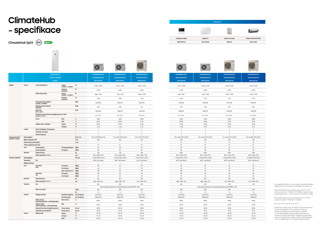## **ClimateHub** - specifikace

\*\*\* \*\*\*  $\sim$ 

ClimateHub Split  $(x_3)$   $x_4...$ 

|                                        |                                          | Vnitřní jednotka                                                        |                                                     |                                                      | AE200RNWSEG/EU                      | AE200RNWSEG/EU                                                     | AE200RNWSEG/EU                       |
|----------------------------------------|------------------------------------------|-------------------------------------------------------------------------|-----------------------------------------------------|------------------------------------------------------|-------------------------------------|--------------------------------------------------------------------|--------------------------------------|
|                                        |                                          | Venkovní jednotka                                                       |                                                     |                                                      | AE040RXEDEG/EU                      | AE060RXEDEG/EU                                                     | AE090RXEDEG/EU                       |
|                                        |                                          | Ovladač                                                                 |                                                     |                                                      | MWR-WW10N                           | MWR-WW10N                                                          | MWR-WW10N                            |
|                                        |                                          |                                                                         |                                                     |                                                      |                                     |                                                                    |                                      |
| Systém                                 | Provoz                                   | Jmenovitá kapacita                                                      | Topení<br>A7/W35 <sup>1</sup> / A7/W55 <sup>2</sup> | W                                                    | 4400/3900                           | 6000/5200                                                          | 9000 / 8000                          |
|                                        |                                          |                                                                         | Chlazení<br>A35/W181                                | W                                                    | 5000                                | 6500                                                               | 8700                                 |
|                                        |                                          | Příkon (jmenovitý)                                                      | Topení<br>A7/W35 <sup>1</sup> / A7/W55 <sup>2</sup> | W                                                    | 846/1320                            | 1220/1810                                                          | 1870 / 2730                          |
|                                        |                                          |                                                                         | Chlazení<br>A35/W181                                | W<br>W/W                                             | 1090                                | 1470                                                               | 2110                                 |
|                                        |                                          | COP (jmenovité vytápění)<br>A7/W351/A7/W552<br>EER (jmenovité chlazení) |                                                     | W/W                                                  | 5,20/2,95                           | 4,92/2,87                                                          | 4,81/2,93                            |
|                                        |                                          | A35/W181<br>SCOP LWT                                                    |                                                     | W/W                                                  | 4,59                                | 4,42                                                               | 4,12                                 |
|                                        |                                          | 35 °C / 55 °C<br>Průměrná sezónní účinnost vytápění prostoru Třída      |                                                     | $\overline{a}$                                       | 4,58/3,25                           | 4,58/3,31                                                          | 4,45/3,24                            |
|                                        |                                          | LWT 35 °C / 55 °C                                                       |                                                     |                                                      | $A+++/A++$                          | $A+++/A++$                                                         | $A+++/A++$                           |
|                                        |                                          | Proud                                                                   | MCA                                                 | А                                                    | 16,00                               | 16,00                                                              | 22,00                                |
|                                        |                                          |                                                                         | MFA                                                 | $\mathbb A$<br>٩C                                    | 20,00<br>$15 - 65$                  | 20,00<br>$15 - 65$                                                 | 27,50<br>$15 - 65$                   |
|                                        |                                          | Teplota vody na výstupu <sup>3</sup>                                    | Topení                                              |                                                      |                                     |                                                                    |                                      |
|                                        |                                          |                                                                         | Chlazení                                            | ٥C<br>$\overline{\phantom{a}}$                       | $5 - 25$                            | $5 - 26$                                                           | $5 - 27$                             |
|                                        | Funkce<br>Smart Grid Ready / PV povoleno |                                                                         |                                                     |                                                      | $\bullet$                           | $\bullet$                                                          | $\bullet$                            |
|                                        | 4krokový tichý režim                     |                                                                         |                                                     | $\overline{\phantom{a}}$<br>$\sim$                   | ٠<br>٠                              | ٠<br>٠                                                             | ٠<br>٠                               |
|                                        |                                          | 2zónová regulace                                                        |                                                     |                                                      |                                     |                                                                    |                                      |
| Integrovaná hydro<br>jednotka s nádrži | Zdroj napájení                           |                                                                         |                                                     | Φ, #, V, Hz                                          | 1 Ф, 2, 220~240 V, 50 Hz            | 1 Ф, 2, 220~240 V, 50 Hz                                           | 1 Ф, 2, 220~240 V, 50 Hz             |
|                                        | Objem zásobníku TÚV                      |                                                                         |                                                     | litrů                                                | 200                                 | 200                                                                | 200                                  |
|                                        | Deklarovaný profil zatížení              |                                                                         |                                                     | L/XL                                                 | $\mathsf{L}$                        | t.                                                                 | $\mathsf L$                          |
|                                        | Třída energetické účinnosti<br>Hluk      | Akustický tlak <sup>4</sup>                                             |                                                     |                                                      | A+<br>26                            | $A+$<br>26                                                         | $A+$<br>26                           |
|                                        |                                          |                                                                         | Std topení/chlazení                                 | dB(A)                                                | 40                                  | 40                                                                 | 40                                   |
|                                        |                                          | Akustický výkon<br>Čistá hmotnost                                       | Std topení                                          | dB(A)                                                |                                     |                                                                    |                                      |
|                                        | Rozměry                                  | Čisté rozměry (Š × V × H)                                               |                                                     | kg                                                   | 136<br>$595 \times 1800 \times 700$ | 136<br>$595 \times 1800 \times 700$                                | 136<br>$595 \times 1800 \times 700$  |
|                                        |                                          |                                                                         |                                                     | mm                                                   | 1 Ф, 220~240 V, 50 Hz               | 1 Ф, 220~240 V, 50 Hz                                              | 1 Ф, 220~240 V, 50 Hz                |
| Venkovní jednotka                      | Zdroj napájení<br>Kompresor              |                                                                         |                                                     | $\Phi$ , V, Hz                                       |                                     |                                                                    |                                      |
|                                        |                                          | Typ                                                                     |                                                     | $\overline{\phantom{a}}$<br>$\overline{\phantom{a}}$ | <b>BLDC Twin Rotary</b><br>ä,       | <b>BLDC Twin Rotary</b><br>i.                                      | <b>BLDC Twin Rotary</b><br>$\bullet$ |
|                                        | Základní ohřívač                         |                                                                         |                                                     |                                                      |                                     |                                                                    |                                      |
|                                        | Hluk                                     | Akustický<br>tlak <sup>4</sup>                                          | Std topení                                          | dB(A)                                                | 44                                  | 47                                                                 | 49                                   |
|                                        |                                          |                                                                         | Std chlazení<br>Noční režim při 3 m                 | dB(A)<br>dB(A)                                       | 46<br>$\leq 35$                     | 47<br>35                                                           | 49<br>35                             |
|                                        |                                          | Akustická                                                               | Std topení                                          | dB(A)                                                | 58                                  | $60\,$                                                             | 64                                   |
|                                        |                                          | síla                                                                    | Std chlazení                                        | dB(A)                                                | 61                                  | 62                                                                 | 63                                   |
|                                        | Rozměry                                  | Čistá hmotnost                                                          |                                                     | kg                                                   | 46,5                                | 46,5                                                               | 73,0                                 |
|                                        |                                          | Čisté rozměry (Š × V × H)                                               |                                                     | mm                                                   | $880 \times 638 \times 310$         | $880 \times 638 \times 310$                                        | $940 \times 998 \times 330$          |
|                                        | Chladivo                                 |                                                                         |                                                     |                                                      | <b>R32</b>                          | <b>R32</b>                                                         | <b>R32</b>                           |
|                                        |                                          | Typ<br>Plnění ve výrobě                                                 |                                                     |                                                      |                                     | Tyto produkty obsahují fluorovaný skleníkový plyn R32 (GWP = 675). |                                      |
|                                        |                                          |                                                                         |                                                     | tCO <sub>2</sub> e                                   | 0,81                                | 0,81                                                               | 0,95                                 |
|                                        |                                          |                                                                         |                                                     | kg                                                   | 1,2                                 | 1,2                                                                | 1,4                                  |
|                                        | Potrubi                                  | Připojení potrubí                                                       | Potrubí na kapalinu                                 | <b>O</b> , mm (palce)                                | 6,35(1/4)                           | 6,35(1/4")                                                         | 6,35(1/4")                           |
|                                        |                                          |                                                                         | Potrubí na plyn                                     | <b>O</b> , mm (palce)                                | 15,88 (5/8")                        | 15,88 (5/8")                                                       | 15,88 (5/8")                         |
|                                        |                                          | Délka potrubí<br>(venkovní jednotka – vnitřní jednotka)                 | Max. [ekviv.]                                       | $\mathsf{m}$                                         | 30,00                               | 30,00                                                              | 35,00                                |
|                                        |                                          | Výškový rozdíl<br>(vnitřní jednotka – vnitřní jednotka)                 | Max.                                                | $\mathsf{m}$                                         | 20,00                               | 20,00                                                              | 20,00                                |
|                                        |                                          | Vodovodní potrubí (vytápění prostoru)                                   | Vstup/výstup                                        | $0$ . mm                                             | 28/28                               | 28/28                                                              | 28/28                                |
|                                        |                                          | Vodovodní potrubí (DHW)                                                 | Vstup/výstup                                        | $0$ mm                                               | 22/22                               | 22/22                                                              | 22/22                                |
|                                        | Provoz                                   | Teplota okolí                                                           | Topení                                              | ۰c                                                   | $-25 - 35$                          | $-25 - 35$                                                         | $-25 - 35$                           |
|                                        |                                          |                                                                         | Chlazení                                            | ۰c                                                   | $10 - 46$                           | $10 - 46$                                                          | $10 - 46$                            |
|                                        |                                          |                                                                         | <b>DHW</b>                                          | ٩r                                                   | $-25 - 43$                          | $-25 - 43$                                                         | $-25 - 43$                           |

|                  | Příslušenství |                   |                          |  |  |  |
|------------------|---------------|-------------------|--------------------------|--|--|--|
| ---              | $\sim$        |                   |                          |  |  |  |
| Dotykový ovladač | Sada Wi-Fi    | Externí termostat | Záložní ohřívač (4/6 kW) |  |  |  |
| MWR-WW10N        | MIM-H04EN     | MRW-TA            | MHC-*00FE                |  |  |  |

| AE260RNWSEG/EU               | AE260RNWSEG/EU                                                     | AE260RNWSEG/EU               | AE260RNWSGG/EU               |
|------------------------------|--------------------------------------------------------------------|------------------------------|------------------------------|
| AE040RXEDEG/EU               | AE060RXEDEG/EU                                                     | AE090RXEDEG/EU               | AE090RXEDGG/EU               |
|                              |                                                                    |                              |                              |
| MWR-WW10N                    | MWR-WW10N                                                          | MWR-WW10N                    | MWR-WW10N                    |
| 4 400 / 3 900                | 6 000 / 5 200                                                      | 9000 / 8000                  | 9000 / 8000                  |
| 5000                         | 6500                                                               | 8700                         | 8700                         |
| 846 / 1320                   | 1220/1810                                                          | 1870 / 2730                  | 1870 / 2730                  |
| 1090                         | 1470                                                               | 2110                         | 2110                         |
| 5,20/2,95                    | 4,92/2,87                                                          | 4,81/2,93                    | 4,81/2,93                    |
| 4,59                         | 4,42                                                               | 4,12                         | 4,12                         |
| 4,58/3,25                    | 4,58/3,31                                                          | 4,45/3,24                    | 4,45/3,24                    |
| $A+++/A++$                   | $A+++/A++$                                                         | $A++/A++$                    | $A+++/A++$                   |
| 16,00                        | 16,00                                                              | 22,00                        | 10,00                        |
| 20,00                        | 20,00                                                              | 27,50                        | 16,10                        |
| $15 - 65$                    | $15 - 65$                                                          | $15 - 65$                    | $15 - 65$                    |
| $5 - 28$                     | $5 - 29$                                                           | $5 - 30$                     | $5 - 31$                     |
| ۰                            | ۰                                                                  | ۰                            | ۰                            |
| $\bullet$                    | $\bullet$                                                          | $\bullet$                    | $\bullet$                    |
| ۰                            | ٠                                                                  | $\bullet$                    | ٠                            |
| 1 Ф, 2, 220~240 V, 50 Hz     | 1 Ф, 2, 220~240 V, 50 Hz                                           | 1 Ф, 2, 220~240 V, 50 Hz     | 3 Ф, 4, 380~415 V, 50 Hz     |
| 260                          | 260                                                                | 260                          | 260                          |
| XL                           | XL                                                                 | XL                           | XL                           |
| A+                           | $A+$                                                               | $A +$                        | A+                           |
| 26                           | 26                                                                 | 26                           | 26                           |
| 40                           | 40                                                                 | 40                           | 40                           |
| 146,0                        | 146,0                                                              | 146,0                        | 146,0                        |
| $595 \times 1800 \times 700$ | $595 \times 1800 \times 700$                                       | $595 \times 1800 \times 700$ | $595 \times 1800 \times 700$ |
| 1 Ф, 220~240 V, 50 Hz        | 1 Ф, 220~240 V, 50 Hz                                              | 1 Ф, 220~240 V, 50 Hz        | 3 Ф, 380~415 V, 50 Hz        |
| <b>BLDC Twin Rotary</b>      | <b>BLDC Twin Rotary</b>                                            | <b>BLDC Twin Rotary</b>      | <b>BLDC Twin Rotary</b>      |
| ×,                           | $\sim$                                                             | $\bullet$                    | ٠                            |
| 44                           | 47                                                                 | 49                           | 49                           |
| 46                           | 47                                                                 | 49                           | 49                           |
| $\leq 35$                    | 35                                                                 | 35                           | 35                           |
| 58                           | 60                                                                 | 64                           | 64                           |
| 61                           | 62                                                                 | 63                           | 63                           |
| 46,5                         | 46,5                                                               | 73,0                         | 72,0                         |
| $880 \times 638 \times 310$  | $880 \times 638 \times 310$                                        | $940 \times 998 \times 330$  | $940 \times 998 \times 330$  |
| <b>R32</b>                   | <b>R32</b>                                                         | <b>R32</b>                   | <b>R32</b>                   |
|                              | Tyto produkty obsahují fluorovaný skleníkový plyn R32 (GWP = 675). |                              |                              |
| 0,81                         | 0,81                                                               | 0,95                         | 0,95                         |
|                              |                                                                    |                              |                              |
| 1,2<br>6,35(1/4")            | 1,2<br>6,35 (1/4")                                                 | 1,4<br>6,35 (1/4")           | 1,4<br>6,35 (1/4")           |
| 15,88 (5/8")                 | 15,88 (5/8")                                                       | 15,88 (5/8")                 | 15,88 (5/8")                 |
| 30,00                        | 30,00                                                              | 35,00                        | 35,00                        |
| 20,00                        | 20,00                                                              | 20,00                        | 20,00                        |
| 28/28                        | 28/28                                                              | 28/28                        | 28/28                        |
| 22/22                        | 22/22                                                              | 22/22                        | 22/22                        |
| $-25 - 35$                   | $-25 - 35$                                                         | $-25 - 35$                   | $-25 - 35$                   |
| $10 - 46$                    | $10 - 46$                                                          | $10 - 46$                    | $10 - 46$                    |
|                              |                                                                    |                              |                              |
| $-25 - 43$                   | $-25 - 43$                                                         | $-25 - 43$                   | $-25 - 43$                   |

\*Energetický štítek A+++ je k dispozici podle klasifikace<br>štítků 2019, EU č. 811/2013, na stupnici od D do A +++.

'Stav A2W: (topení) voda vstup/výstup 30 °C / 35 °C,<br>venkovní vzduch 7 °C [DB] / 6 °C [WB]; (chlazení) voda<br>vstup/výstup 23 °C / 18 °C, venkovní vzduch 35 °C [DB].

<sup>2</sup>Stav A2W: (topení) voda vstup/výstup 47 °C / 55 °C,<br>venkovní vzduch 7 °C [DB] / 6 °C [WB].

365 °C až +10 °C (max. 60 °C až -5 °C)

" roveň akustického tlaku se měří v anechoické komoře.<br>Úroveň akustického tlaku je relativní hodnota<br>Závislá na vzdálenosti a akustického prostředí.<br>Úroveň akustického tlaku se může v závislosti na uvozních podmínkách liš